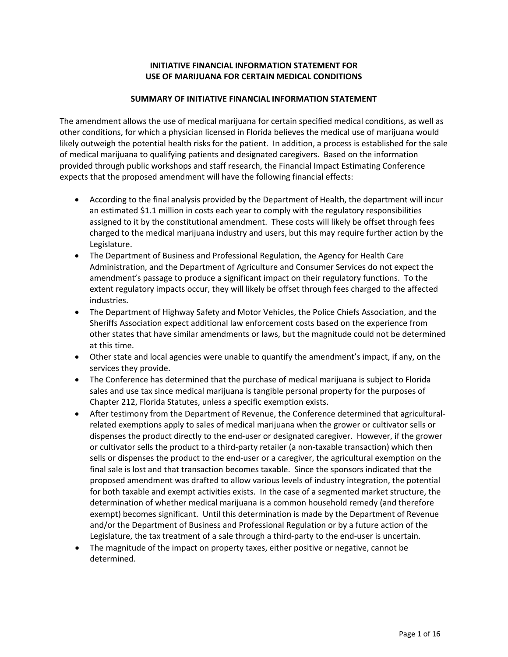# **INITIATIVE FINANCIAL INFORMATION STATEMENT FOR USE OF MARIJUANA FOR CERTAIN MEDICAL CONDITIONS**

#### **SUMMARY OF INITIATIVE FINANCIAL INFORMATION STATEMENT**

The amendment allows the use of medical marijuana for certain specified medical conditions, as well as other conditions, for which a physician licensed in Florida believes the medical use of marijuana would likely outweigh the potential health risks for the patient. In addition, a process is established for the sale of medical marijuana to qualifying patients and designated caregivers. Based on the information provided through public workshops and staff research, the Financial Impact Estimating Conference expects that the proposed amendment will have the following financial effects:

- According to the final analysis provided by the Department of Health, the department will incur an estimated \$1.1 million in costs each year to comply with the regulatory responsibilities assigned to it by the constitutional amendment. These costs will likely be offset through fees charged to the medical marijuana industry and users, but this may require further action by the Legislature.
- The Department of Business and Professional Regulation, the Agency for Health Care Administration, and the Department of Agriculture and Consumer Services do not expect the amendment's passage to produce a significant impact on their regulatory functions. To the extent regulatory impacts occur, they will likely be offset through fees charged to the affected industries.
- The Department of Highway Safety and Motor Vehicles, the Police Chiefs Association, and the Sheriffs Association expect additional law enforcement costs based on the experience from other states that have similar amendments or laws, but the magnitude could not be determined at this time.
- Other state and local agencies were unable to quantify the amendment's impact, if any, on the services they provide.
- The Conference has determined that the purchase of medical marijuana is subject to Florida sales and use tax since medical marijuana is tangible personal property for the purposes of Chapter 212, Florida Statutes, unless a specific exemption exists.
- After testimony from the Department of Revenue, the Conference determined that agricultural– related exemptions apply to sales of medical marijuana when the grower or cultivator sells or dispenses the product directly to the end‐user or designated caregiver. However, if the grower or cultivator sells the product to a third-party retailer (a non-taxable transaction) which then sells or dispenses the product to the end-user or a caregiver, the agricultural exemption on the final sale is lost and that transaction becomes taxable. Since the sponsors indicated that the proposed amendment was drafted to allow various levels of industry integration, the potential for both taxable and exempt activities exists. In the case of a segmented market structure, the determination of whether medical marijuana is a common household remedy (and therefore exempt) becomes significant. Until this determination is made by the Department of Revenue and/or the Department of Business and Professional Regulation or by a future action of the Legislature, the tax treatment of a sale through a third-party to the end-user is uncertain.
- The magnitude of the impact on property taxes, either positive or negative, cannot be determined.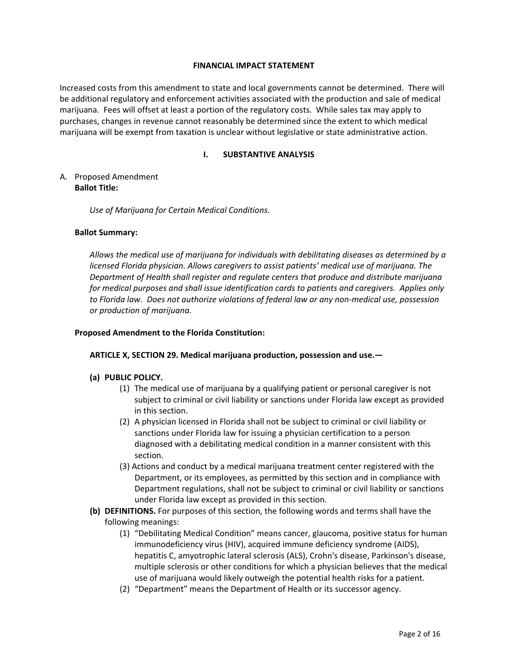#### **FINANCIAL IMPACT STATEMENT**

Increased costs from this amendment to state and local governments cannot be determined. There will be additional regulatory and enforcement activities associated with the production and sale of medical marijuana. Fees will offset at least a portion of the regulatory costs. While sales tax may apply to purchases, changes in revenue cannot reasonably be determined since the extent to which medical marijuana will be exempt from taxation is unclear without legislative or state administrative action.

### **I. SUBSTANTIVE ANALYSIS**

A. Proposed Amendment **Ballot Title:**

*Use of Marijuana for Certain Medical Conditions.*

#### **Ballot Summary:**

*Allows the medical use of marijuana for individuals with debilitating diseases as determined by a licensed Florida physician. Allows caregivers to assist patients' medical use of marijuana. The Department of Health shall register and regulate centers that produce and distribute marijuana for medical purposes and shall issue identification cards to patients and caregivers. Applies only to Florida law. Does not authorize violations of federal law or any non‐medical use, possession or production of marijuana.*

#### **Proposed Amendment to the Florida Constitution:**

#### **ARTICLE X, SECTION 29. Medical marijuana production, possession and use.—**

# **(a) PUBLIC POLICY.**

- (1) The medical use of marijuana by a qualifying patient or personal caregiver is not subject to criminal or civil liability or sanctions under Florida law except as provided in this section.
- (2) A physician licensed in Florida shall not be subject to criminal or civil liability or sanctions under Florida law for issuing a physician certification to a person diagnosed with a debilitating medical condition in a manner consistent with this section.
- (3) Actions and conduct by a medical marijuana treatment center registered with the Department, or its employees, as permitted by this section and in compliance with Department regulations, shall not be subject to criminal or civil liability or sanctions under Florida law except as provided in this section.
- **(b) DEFINITIONS.** For purposes of this section, the following words and terms shall have the following meanings:
	- (1) "Debilitating Medical Condition" means cancer, glaucoma, positive status for human immunodeficiency virus (HIV), acquired immune deficiency syndrome (AIDS), hepatitis C, amyotrophic lateral sclerosis (ALS), Crohn's disease, Parkinson's disease, multiple sclerosis or other conditions for which a physician believes that the medical use of marijuana would likely outweigh the potential health risks for a patient.
	- (2) "Department" means the Department of Health or its successor agency.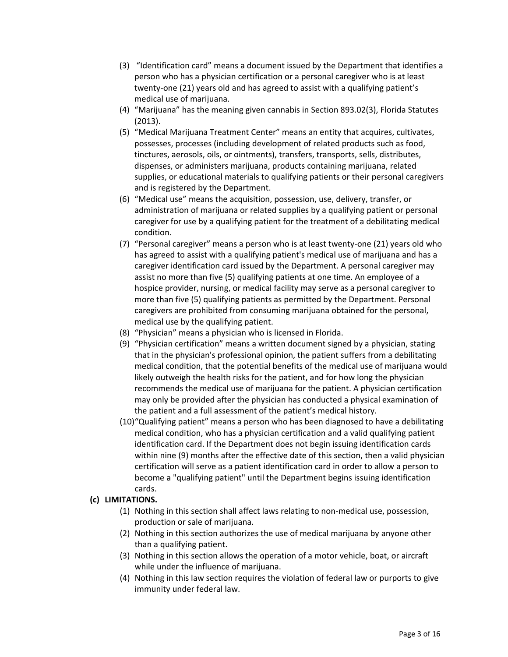- (3) "Identification card" means a document issued by the Department that identifies a person who has a physician certification or a personal caregiver who is at least twenty‐one (21) years old and has agreed to assist with a qualifying patient's medical use of marijuana.
- (4) "Marijuana" has the meaning given cannabis in Section 893.02(3), Florida Statutes (2013).
- (5) "Medical Marijuana Treatment Center" means an entity that acquires, cultivates, possesses, processes (including development of related products such as food, tinctures, aerosols, oils, or ointments), transfers, transports, sells, distributes, dispenses, or administers marijuana, products containing marijuana, related supplies, or educational materials to qualifying patients or their personal caregivers and is registered by the Department.
- (6) "Medical use" means the acquisition, possession, use, delivery, transfer, or administration of marijuana or related supplies by a qualifying patient or personal caregiver for use by a qualifying patient for the treatment of a debilitating medical condition.
- (7) "Personal caregiver" means a person who is at least twenty‐one (21) years old who has agreed to assist with a qualifying patient's medical use of marijuana and has a caregiver identification card issued by the Department. A personal caregiver may assist no more than five (5) qualifying patients at one time. An employee of a hospice provider, nursing, or medical facility may serve as a personal caregiver to more than five (5) qualifying patients as permitted by the Department. Personal caregivers are prohibited from consuming marijuana obtained for the personal, medical use by the qualifying patient.
- (8) "Physician" means a physician who is licensed in Florida.
- (9) "Physician certification" means a written document signed by a physician, stating that in the physician's professional opinion, the patient suffers from a debilitating medical condition, that the potential benefits of the medical use of marijuana would likely outweigh the health risks for the patient, and for how long the physician recommends the medical use of marijuana for the patient. A physician certification may only be provided after the physician has conducted a physical examination of the patient and a full assessment of the patient's medical history.
- (10)"Qualifying patient" means a person who has been diagnosed to have a debilitating medical condition, who has a physician certification and a valid qualifying patient identification card. If the Department does not begin issuing identification cards within nine (9) months after the effective date of this section, then a valid physician certification will serve as a patient identification card in order to allow a person to become a "qualifying patient" until the Department begins issuing identification cards.

# **(c) LIMITATIONS.**

- (1) Nothing in this section shall affect laws relating to non‐medical use, possession, production or sale of marijuana.
- (2) Nothing in this section authorizes the use of medical marijuana by anyone other than a qualifying patient.
- (3) Nothing in this section allows the operation of a motor vehicle, boat, or aircraft while under the influence of marijuana.
- (4) Nothing in this law section requires the violation of federal law or purports to give immunity under federal law.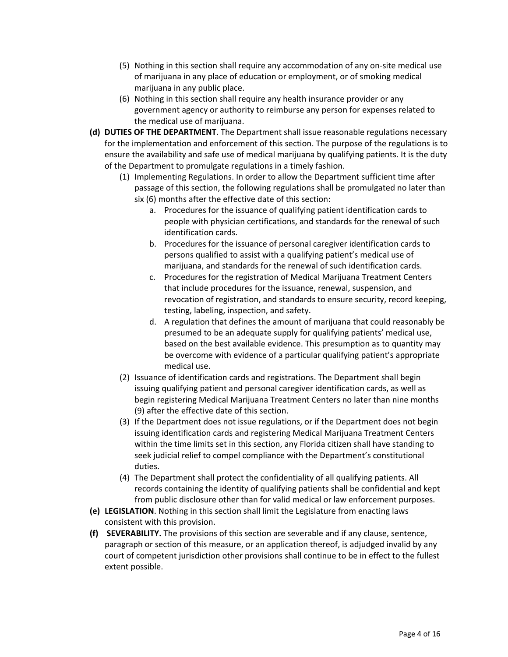- (5) Nothing in this section shall require any accommodation of any on‐site medical use of marijuana in any place of education or employment, or of smoking medical marijuana in any public place.
- (6) Nothing in this section shall require any health insurance provider or any government agency or authority to reimburse any person for expenses related to the medical use of marijuana.
- **(d) DUTIES OF THE DEPARTMENT**. The Department shall issue reasonable regulations necessary for the implementation and enforcement of this section. The purpose of the regulations is to ensure the availability and safe use of medical marijuana by qualifying patients. It is the duty of the Department to promulgate regulations in a timely fashion.
	- (1) Implementing Regulations. In order to allow the Department sufficient time after passage of this section, the following regulations shall be promulgated no later than six (6) months after the effective date of this section:
		- a. Procedures for the issuance of qualifying patient identification cards to people with physician certifications, and standards for the renewal of such identification cards.
		- b. Procedures for the issuance of personal caregiver identification cards to persons qualified to assist with a qualifying patient's medical use of marijuana, and standards for the renewal of such identification cards.
		- c. Procedures for the registration of Medical Marijuana Treatment Centers that include procedures for the issuance, renewal, suspension, and revocation of registration, and standards to ensure security, record keeping, testing, labeling, inspection, and safety.
		- d. A regulation that defines the amount of marijuana that could reasonably be presumed to be an adequate supply for qualifying patients' medical use, based on the best available evidence. This presumption as to quantity may be overcome with evidence of a particular qualifying patient's appropriate medical use.
	- (2) Issuance of identification cards and registrations. The Department shall begin issuing qualifying patient and personal caregiver identification cards, as well as begin registering Medical Marijuana Treatment Centers no later than nine months (9) after the effective date of this section.
	- (3) If the Department does not issue regulations, or if the Department does not begin issuing identification cards and registering Medical Marijuana Treatment Centers within the time limits set in this section, any Florida citizen shall have standing to seek judicial relief to compel compliance with the Department's constitutional duties.
	- (4) The Department shall protect the confidentiality of all qualifying patients. All records containing the identity of qualifying patients shall be confidential and kept from public disclosure other than for valid medical or law enforcement purposes.
- **(e) LEGISLATION**. Nothing in this section shall limit the Legislature from enacting laws consistent with this provision.
- **(f) SEVERABILITY.** The provisions of this section are severable and if any clause, sentence, paragraph or section of this measure, or an application thereof, is adjudged invalid by any court of competent jurisdiction other provisions shall continue to be in effect to the fullest extent possible.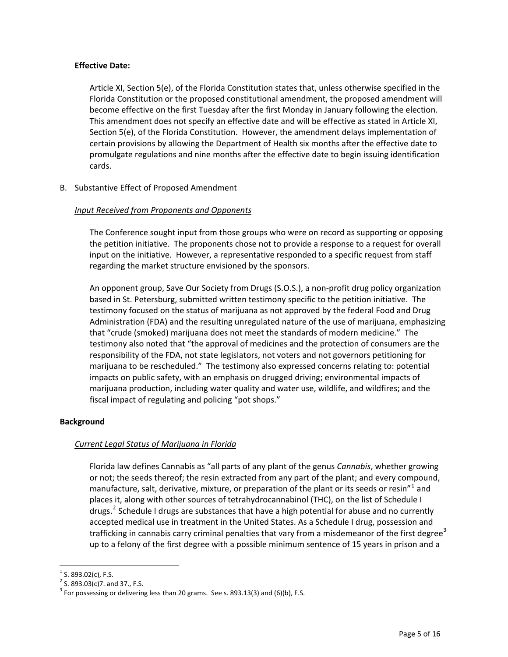# **Effective Date:**

Article XI, Section 5(e), of the Florida Constitution states that, unless otherwise specified in the Florida Constitution or the proposed constitutional amendment, the proposed amendment will become effective on the first Tuesday after the first Monday in January following the election. This amendment does not specify an effective date and will be effective as stated in Article XI, Section 5(e), of the Florida Constitution. However, the amendment delays implementation of certain provisions by allowing the Department of Health six months after the effective date to promulgate regulations and nine months after the effective date to begin issuing identification cards.

B. Substantive Effect of Proposed Amendment

#### *Input Received from Proponents and Opponents*

The Conference sought input from those groups who were on record as supporting or opposing the petition initiative. The proponents chose not to provide a response to a request for overall input on the initiative. However, a representative responded to a specific request from staff regarding the market structure envisioned by the sponsors.

An opponent group, Save Our Society from Drugs (S.O.S.), a non‐profit drug policy organization based in St. Petersburg, submitted written testimony specific to the petition initiative. The testimony focused on the status of marijuana as not approved by the federal Food and Drug Administration (FDA) and the resulting unregulated nature of the use of marijuana, emphasizing that "crude (smoked) marijuana does not meet the standards of modern medicine." The testimony also noted that "the approval of medicines and the protection of consumers are the responsibility of the FDA, not state legislators, not voters and not governors petitioning for marijuana to be rescheduled." The testimony also expressed concerns relating to: potential impacts on public safety, with an emphasis on drugged driving; environmental impacts of marijuana production, including water quality and water use, wildlife, and wildfires; and the fiscal impact of regulating and policing "pot shops."

# **Background**

# *Current Legal Status of Marijuana in Florida*

Florida law defines Cannabis as "all parts of any plant of the genus *Cannabis*, whether growing or not; the seeds thereof; the resin extracted from any part of the plant; and every compound, manufacture, salt, derivative, mixture, or preparation of the plant or its seeds or resin<sup>"[1](#page-4-0)</sup> and places it, along with other sources of tetrahydrocannabinol (THC), on the list of Schedule I drugs.<sup>[2](#page-4-1)</sup> Schedule I drugs are substances that have a high potential for abuse and no currently accepted medical use in treatment in the United States. As a Schedule I drug, possession and trafficking in cannabis carry criminal penalties that vary from a misdemeanor of the first degree<sup>[3](#page-4-2)</sup> up to a felony of the first degree with a possible minimum sentence of 15 years in prison and a

 $\overline{a}$ 

<span id="page-4-2"></span>

<span id="page-4-1"></span><span id="page-4-0"></span><sup>&</sup>lt;sup>1</sup> S. 893.02(c), F.S.<br><sup>2</sup> S. 893.03(c)7. and 37., F.S.<br><sup>3</sup> For possessing or delivering less than 20 grams. See s. 893.13(3) and (6)(b), F.S.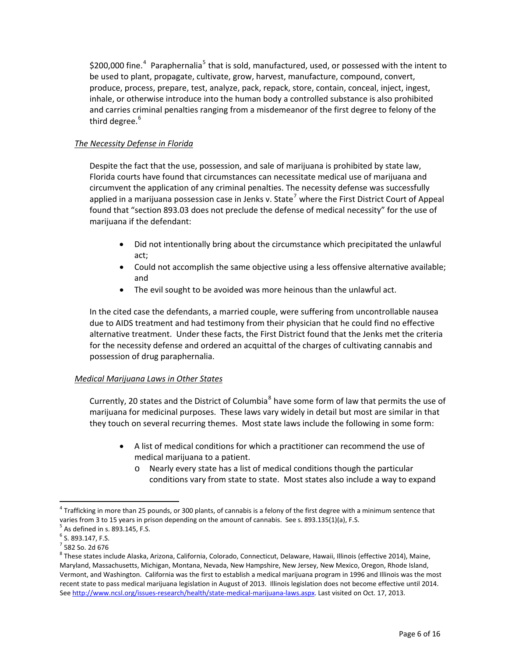\$200,000 fine.<sup>[4](#page-5-0)</sup> Paraphernalia<sup>[5](#page-5-1)</sup> that is sold, manufactured, used, or possessed with the intent to be used to plant, propagate, cultivate, grow, harvest, manufacture, compound, convert, produce, process, prepare, test, analyze, pack, repack, store, contain, conceal, inject, ingest, inhale, or otherwise introduce into the human body a controlled substance is also prohibited and carries criminal penalties ranging from a misdemeanor of the first degree to felony of the third degree. $6$ 

# *The Necessity Defense in Florida*

Despite the fact that the use, possession, and sale of marijuana is prohibited by state law, Florida courts have found that circumstances can necessitate medical use of marijuana and circumvent the application of any criminal penalties. The necessity defense was successfully applied in a marijuana possession case in Jenks v. State<sup>[7](#page-5-3)</sup> where the First District Court of Appeal found that "section 893.03 does not preclude the defense of medical necessity" for the use of marijuana if the defendant:

- Did not intentionally bring about the circumstance which precipitated the unlawful act;
- Could not accomplish the same objective using a less offensive alternative available; and
- The evil sought to be avoided was more heinous than the unlawful act.

In the cited case the defendants, a married couple, were suffering from uncontrollable nausea due to AIDS treatment and had testimony from their physician that he could find no effective alternative treatment. Under these facts, the First District found that the Jenks met the criteria for the necessity defense and ordered an acquittal of the charges of cultivating cannabis and possession of drug paraphernalia.

# *Medical Marijuana Laws in Other States*

Currently, 20 states and the District of Columbia<sup>[8](#page-5-4)</sup> have some form of law that permits the use of marijuana for medicinal purposes. These laws vary widely in detail but most are similar in that they touch on several recurring themes. Most state laws include the following in some form:

- A list of medical conditions for which a practitioner can recommend the use of medical marijuana to a patient.
	- o Nearly every state has a list of medical conditions though the particular conditions vary from state to state. Most states also include a way to expand

 $\overline{a}$ 

<span id="page-5-0"></span> $4$  Trafficking in more than 25 pounds, or 300 plants, of cannabis is a felony of the first degree with a minimum sentence that varies from 3 to 15 years in prison depending on the amount of cannabis. See s. 893.135(1)(a), F.S.<br>
<sup>5</sup> As defined in s. 893.145, F.S.<br>
<sup>6</sup> S. 893.147, F.S.<br>
<sup>7</sup> 582 So. 2d 676<br>
<sup>8</sup> These states include Alaska, Arizona, C

<span id="page-5-1"></span>

<span id="page-5-2"></span>

<span id="page-5-3"></span>

<span id="page-5-4"></span>Maryland, Massachusetts, Michigan, Montana, Nevada, New Hampshire, New Jersey, New Mexico, Oregon, Rhode Island, Vermont, and Washington. California was the first to establish a medical marijuana program in 1996 and Illinois was the most recent state to pass medical marijuana legislation in August of 2013. Illinois legislation does not become effective until 2014. See [http://www.ncsl.org/issues](http://www.ncsl.org/issues-research/health/state-medical-marijuana-laws.aspx)-research/health/state-medical-marijuana-laws.aspx. Last visited on Oct. 17, 2013.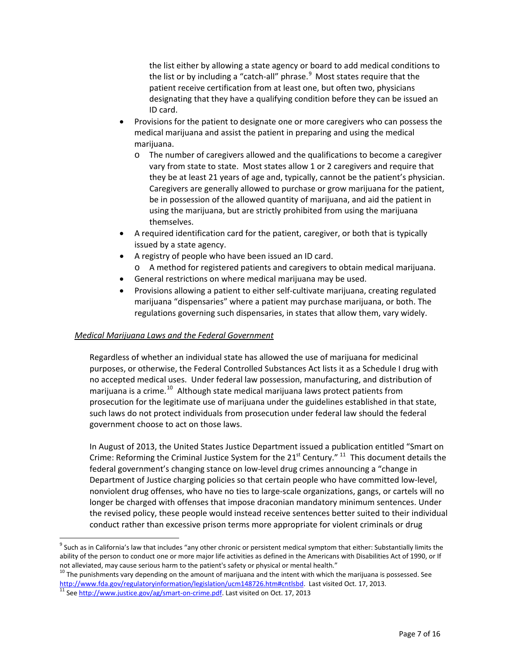the list either by allowing a state agency or board to add medical conditions to the list or by including a "catch-all" phrase. $9$  Most states require that the patient receive certification from at least one, but often two, physicians designating that they have a qualifying condition before they can be issued an ID card.

- Provisions for the patient to designate one or more caregivers who can possess the medical marijuana and assist the patient in preparing and using the medical marijuana.
	- o The number of caregivers allowed and the qualifications to become a caregiver vary from state to state. Most states allow 1 or 2 caregivers and require that they be at least 21 years of age and, typically, cannot be the patient's physician. Caregivers are generally allowed to purchase or grow marijuana for the patient, be in possession of the allowed quantity of marijuana, and aid the patient in using the marijuana, but are strictly prohibited from using the marijuana themselves.
- A required identification card for the patient, caregiver, or both that is typically issued by a state agency.
- A registry of people who have been issued an ID card.
	- o A method for registered patients and caregivers to obtain medical marijuana.
- General restrictions on where medical marijuana may be used.
- Provisions allowing a patient to either self‐cultivate marijuana, creating regulated marijuana "dispensaries" where a patient may purchase marijuana, or both. The regulations governing such dispensaries, in states that allow them, vary widely.

#### *Medical Marijuana Laws and the Federal Government*

Regardless of whether an individual state has allowed the use of marijuana for medicinal purposes, or otherwise, the Federal Controlled Substances Act lists it as a Schedule I drug with no accepted medical uses. Under federal law possession, manufacturing, and distribution of marijuana is a crime.<sup>[10](#page-6-0)</sup> Although state medical marijuana laws protect patients from prosecution for the legitimate use of marijuana under the guidelines established in that state, such laws do not protect individuals from prosecution under federal law should the federal government choose to act on those laws.

In August of 2013, the United States Justice Department issued a publication entitled "Smart on Crime: Reforming the Criminal Justice System for the  $21<sup>st</sup>$  Century." <sup>[11](#page-6-1)</sup> This document details the federal government's changing stance on low-level drug crimes announcing a "change in Department of Justice charging policies so that certain people who have committed low‐level, nonviolent drug offenses, who have no ties to large‐scale organizations, gangs, or cartels will no longer be charged with offenses that impose draconian mandatory minimum sentences. Under the revised policy, these people would instead receive sentences better suited to their individual conduct rather than excessive prison terms more appropriate for violent criminals or drug

 $\overline{a}$ 

 $9$  Such as in California's law that includes "any other chronic or persistent medical symptom that either: Substantially limits the ability of the person to conduct one or more major life activities as defined in the Americans with Disabilities Act of 1990, or If not alleviated, may cause serious harm to the patient's safety or physical or mental health."<br><sup>10</sup> The punishments vary depending on the amount of marijuana and the intent with which the marijuana is possessed. See

<span id="page-6-0"></span><http://www.fda.gov/regulatoryinformation/legislation/ucm148726.htm#cntlsbd>. Last visited Oct. 17, 2013.<br><sup>11</sup> See [http://www.justice.gov/ag/smart](http://www.justice.gov/ag/smart-on-crime.pdf)-on-crime.pdf. Last visited on Oct. 17, 2013

<span id="page-6-1"></span>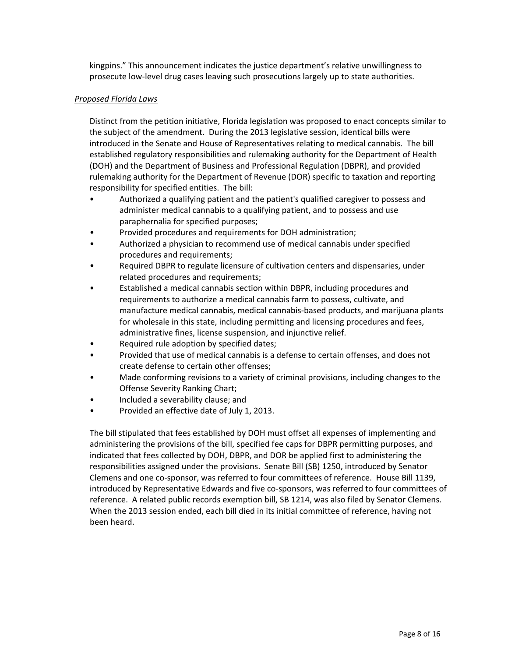kingpins." This announcement indicates the justice department's relative unwillingness to prosecute low‐level drug cases leaving such prosecutions largely up to state authorities.

### *Proposed Florida Laws*

Distinct from the petition initiative, Florida legislation was proposed to enact concepts similar to the subject of the amendment. During the 2013 legislative session, identical bills were introduced in the Senate and House of Representatives relating to medical cannabis. The bill established regulatory responsibilities and rulemaking authority for the Department of Health (DOH) and the Department of Business and Professional Regulation (DBPR), and provided rulemaking authority for the Department of Revenue (DOR) specific to taxation and reporting responsibility for specified entities. The bill:

- Authorized a qualifying patient and the patient's qualified caregiver to possess and administer medical cannabis to a qualifying patient, and to possess and use paraphernalia for specified purposes;
- Provided procedures and requirements for DOH administration;
- Authorized a physician to recommend use of medical cannabis under specified procedures and requirements;
- Required DBPR to regulate licensure of cultivation centers and dispensaries, under related procedures and requirements;
- Established a medical cannabis section within DBPR, including procedures and requirements to authorize a medical cannabis farm to possess, cultivate, and manufacture medical cannabis, medical cannabis‐based products, and marijuana plants for wholesale in this state, including permitting and licensing procedures and fees, administrative fines, license suspension, and injunctive relief.
- Required rule adoption by specified dates;
- Provided that use of medical cannabis is a defense to certain offenses, and does not create defense to certain other offenses;
- Made conforming revisions to a variety of criminal provisions, including changes to the Offense Severity Ranking Chart;
- Included a severability clause; and
- Provided an effective date of July 1, 2013.

The bill stipulated that fees established by DOH must offset all expenses of implementing and administering the provisions of the bill, specified fee caps for DBPR permitting purposes, and indicated that fees collected by DOH, DBPR, and DOR be applied first to administering the responsibilities assigned under the provisions. Senate Bill (SB) 1250, introduced by Senator Clemens and one co‐sponsor, was referred to four committees of reference. House Bill 1139, introduced by Representative Edwards and five co‐sponsors, was referred to four committees of reference. A related public records exemption bill, SB 1214, was also filed by Senator Clemens. When the 2013 session ended, each bill died in its initial committee of reference, having not been heard.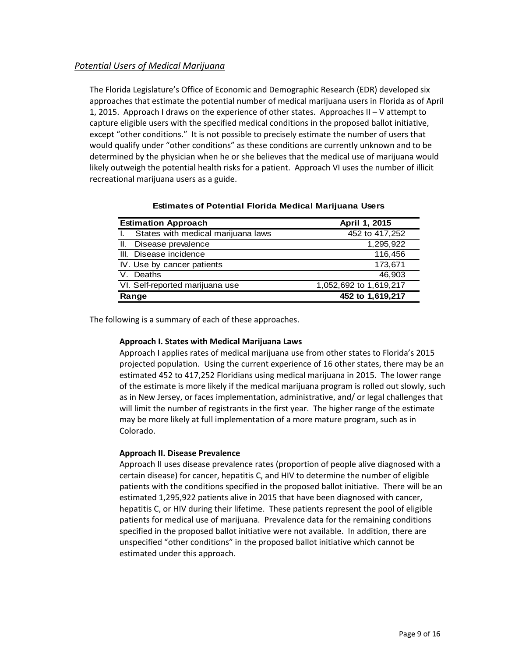# *Potential Users of Medical Marijuana*

The Florida Legislature's Office of Economic and Demographic Research (EDR) developed six approaches that estimate the potential number of medical marijuana users in Florida as of April 1, 2015. Approach I draws on the experience of other states. Approaches II – V attempt to capture eligible users with the specified medical conditions in the proposed ballot initiative, except "other conditions." It is not possible to precisely estimate the number of users that would qualify under "other conditions" as these conditions are currently unknown and to be determined by the physician when he or she believes that the medical use of marijuana would likely outweigh the potential health risks for a patient. Approach VI uses the number of illicit recreational marijuana users as a guide.

| <b>Estimation Approach</b>         | April 1, 2015          |  |  |
|------------------------------------|------------------------|--|--|
| States with medical marijuana laws | 452 to 417,252         |  |  |
| Disease prevalence<br>Ш.           | 1,295,922              |  |  |
| Disease incidence<br>III.          | 116,456                |  |  |
| IV. Use by cancer patients         | 173,671                |  |  |
| Deaths                             | 46.903                 |  |  |
| VI. Self-reported marijuana use    | 1,052,692 to 1,619,217 |  |  |
| Range                              | 452 to 1,619,217       |  |  |

#### **Estimates of Potential Florida Medical Marijuana Users**

The following is a summary of each of these approaches.

# **Approach I. States with Medical Marijuana Laws**

Approach I applies rates of medical marijuana use from other states to Florida's 2015 projected population. Using the current experience of 16 other states, there may be an estimated 452 to 417,252 Floridians using medical marijuana in 2015. The lower range of the estimate is more likely if the medical marijuana program is rolled out slowly, such as in New Jersey, or faces implementation, administrative, and/ or legal challenges that will limit the number of registrants in the first year. The higher range of the estimate may be more likely at full implementation of a more mature program, such as in Colorado.

# **Approach II. Disease Prevalence**

Approach II uses disease prevalence rates (proportion of people alive diagnosed with a certain disease) for cancer, hepatitis C, and HIV to determine the number of eligible patients with the conditions specified in the proposed ballot initiative. There will be an estimated 1,295,922 patients alive in 2015 that have been diagnosed with cancer, hepatitis C, or HIV during their lifetime. These patients represent the pool of eligible patients for medical use of marijuana. Prevalence data for the remaining conditions specified in the proposed ballot initiative were not available. In addition, there are unspecified "other conditions" in the proposed ballot initiative which cannot be estimated under this approach.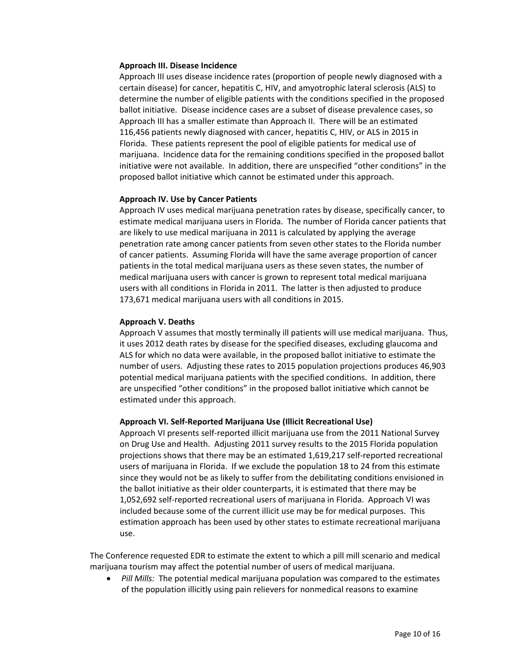#### **Approach III. Disease Incidence**

Approach III uses disease incidence rates (proportion of people newly diagnosed with a certain disease) for cancer, hepatitis C, HIV, and amyotrophic lateral sclerosis (ALS) to determine the number of eligible patients with the conditions specified in the proposed ballot initiative. Disease incidence cases are a subset of disease prevalence cases, so Approach III has a smaller estimate than Approach II. There will be an estimated 116,456 patients newly diagnosed with cancer, hepatitis C, HIV, or ALS in 2015 in Florida. These patients represent the pool of eligible patients for medical use of marijuana. Incidence data for the remaining conditions specified in the proposed ballot initiative were not available. In addition, there are unspecified "other conditions" in the proposed ballot initiative which cannot be estimated under this approach.

#### **Approach IV. Use by Cancer Patients**

Approach IV uses medical marijuana penetration rates by disease, specifically cancer, to estimate medical marijuana users in Florida. The number of Florida cancer patients that are likely to use medical marijuana in 2011 is calculated by applying the average penetration rate among cancer patients from seven other states to the Florida number of cancer patients. Assuming Florida will have the same average proportion of cancer patients in the total medical marijuana users as these seven states, the number of medical marijuana users with cancer is grown to represent total medical marijuana users with all conditions in Florida in 2011. The latter is then adjusted to produce 173,671 medical marijuana users with all conditions in 2015.

#### **Approach V. Deaths**

Approach V assumes that mostly terminally ill patients will use medical marijuana. Thus, it uses 2012 death rates by disease for the specified diseases, excluding glaucoma and ALS for which no data were available, in the proposed ballot initiative to estimate the number of users. Adjusting these rates to 2015 population projections produces 46,903 potential medical marijuana patients with the specified conditions. In addition, there are unspecified "other conditions" in the proposed ballot initiative which cannot be estimated under this approach.

# **Approach VI. Self‐Reported Marijuana Use (Illicit Recreational Use)**

Approach VI presents self‐reported illicit marijuana use from the 2011 National Survey on Drug Use and Health. Adjusting 2011 survey results to the 2015 Florida population projections shows that there may be an estimated 1,619,217 self‐reported recreational users of marijuana in Florida. If we exclude the population 18 to 24 from this estimate since they would not be as likely to suffer from the debilitating conditions envisioned in the ballot initiative as their older counterparts, it is estimated that there may be 1,052,692 self‐reported recreational users of marijuana in Florida. Approach VI was included because some of the current illicit use may be for medical purposes. This estimation approach has been used by other states to estimate recreational marijuana use.

The Conference requested EDR to estimate the extent to which a pill mill scenario and medical marijuana tourism may affect the potential number of users of medical marijuana.

• *Pill Mills:* The potential medical marijuana population was compared to the estimates of the population illicitly using pain relievers for nonmedical reasons to examine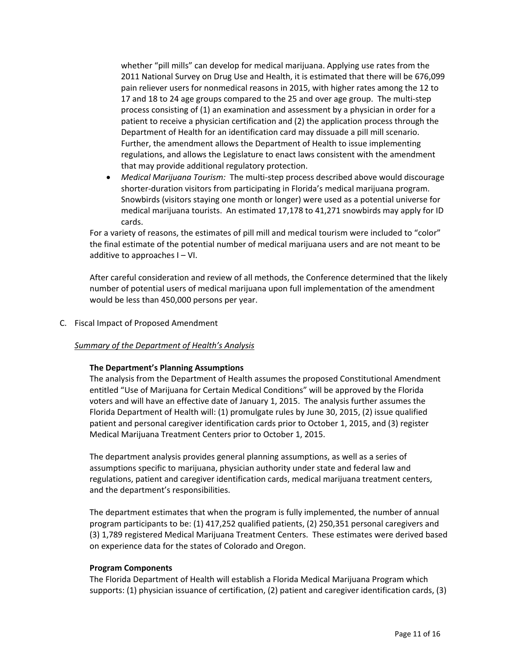whether "pill mills" can develop for medical marijuana. Applying use rates from the 2011 National Survey on Drug Use and Health, it is estimated that there will be 676,099 pain reliever users for nonmedical reasons in 2015, with higher rates among the 12 to 17 and 18 to 24 age groups compared to the 25 and over age group. The multi‐step process consisting of (1) an examination and assessment by a physician in order for a patient to receive a physician certification and (2) the application process through the Department of Health for an identification card may dissuade a pill mill scenario. Further, the amendment allows the Department of Health to issue implementing regulations, and allows the Legislature to enact laws consistent with the amendment that may provide additional regulatory protection.

■ *Medical Marijuana Tourism:* The multi-step process described above would discourage shorter‐duration visitors from participating in Florida's medical marijuana program. Snowbirds (visitors staying one month or longer) were used as a potential universe for medical marijuana tourists. An estimated 17,178 to 41,271 snowbirds may apply for ID cards.

For a variety of reasons, the estimates of pill mill and medical tourism were included to "color" the final estimate of the potential number of medical marijuana users and are not meant to be additive to approaches I – VI.

After careful consideration and review of all methods, the Conference determined that the likely number of potential users of medical marijuana upon full implementation of the amendment would be less than 450,000 persons per year.

C. Fiscal Impact of Proposed Amendment

# *Summary of the Department of Health's Analysis*

#### **The Department's Planning Assumptions**

The analysis from the Department of Health assumes the proposed Constitutional Amendment entitled "Use of Marijuana for Certain Medical Conditions" will be approved by the Florida voters and will have an effective date of January 1, 2015. The analysis further assumes the Florida Department of Health will: (1) promulgate rules by June 30, 2015, (2) issue qualified patient and personal caregiver identification cards prior to October 1, 2015, and (3) register Medical Marijuana Treatment Centers prior to October 1, 2015.

The department analysis provides general planning assumptions, as well as a series of assumptions specific to marijuana, physician authority under state and federal law and regulations, patient and caregiver identification cards, medical marijuana treatment centers, and the department's responsibilities.

The department estimates that when the program is fully implemented, the number of annual program participants to be: (1) 417,252 qualified patients, (2) 250,351 personal caregivers and (3) 1,789 registered Medical Marijuana Treatment Centers. These estimates were derived based on experience data for the states of Colorado and Oregon.

#### **Program Components**

The Florida Department of Health will establish a Florida Medical Marijuana Program which supports: (1) physician issuance of certification, (2) patient and caregiver identification cards, (3)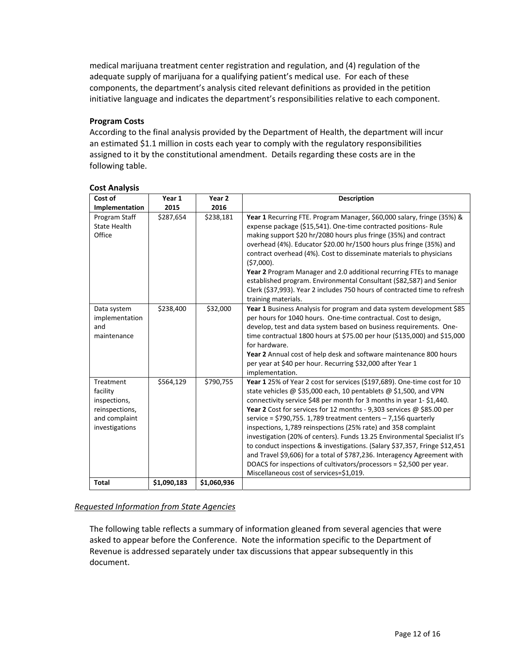medical marijuana treatment center registration and regulation, and (4) regulation of the adequate supply of marijuana for a qualifying patient's medical use. For each of these components, the department's analysis cited relevant definitions as provided in the petition initiative language and indicates the department's responsibilities relative to each component.

# **Program Costs**

According to the final analysis provided by the Department of Health, the department will incur an estimated \$1.1 million in costs each year to comply with the regulatory responsibilities assigned to it by the constitutional amendment. Details regarding these costs are in the following table.

| Cost of                                                                                    | Year 1      | Year <sub>2</sub> | <b>Description</b>                                                                                                                                                                                                                                                                                                                                                                                                                                                                                                                                                                                                                                                                                                                                                                       |
|--------------------------------------------------------------------------------------------|-------------|-------------------|------------------------------------------------------------------------------------------------------------------------------------------------------------------------------------------------------------------------------------------------------------------------------------------------------------------------------------------------------------------------------------------------------------------------------------------------------------------------------------------------------------------------------------------------------------------------------------------------------------------------------------------------------------------------------------------------------------------------------------------------------------------------------------------|
| Implementation                                                                             | 2015        | 2016              |                                                                                                                                                                                                                                                                                                                                                                                                                                                                                                                                                                                                                                                                                                                                                                                          |
| Program Staff<br><b>State Health</b><br>Office                                             | \$287,654   | \$238,181         | Year 1 Recurring FTE. Program Manager, \$60,000 salary, fringe (35%) &<br>expense package (\$15,541). One-time contracted positions- Rule<br>making support \$20 hr/2080 hours plus fringe (35%) and contract<br>overhead (4%). Educator \$20.00 hr/1500 hours plus fringe (35%) and<br>contract overhead (4%). Cost to disseminate materials to physicians<br>$(57,000)$ .<br>Year 2 Program Manager and 2.0 additional recurring FTEs to manage<br>established program. Environmental Consultant (\$82,587) and Senior<br>Clerk (\$37,993). Year 2 includes 750 hours of contracted time to refresh<br>training materials.                                                                                                                                                             |
| Data system<br>implementation<br>and<br>maintenance                                        | \$238,400   | \$32,000          | Year 1 Business Analysis for program and data system development \$85<br>per hours for 1040 hours. One-time contractual. Cost to design,<br>develop, test and data system based on business requirements. One-<br>time contractual 1800 hours at \$75.00 per hour (\$135,000) and \$15,000<br>for hardware.<br>Year 2 Annual cost of help desk and software maintenance 800 hours<br>per year at \$40 per hour. Recurring \$32,000 after Year 1<br>implementation.                                                                                                                                                                                                                                                                                                                       |
| Treatment<br>facility<br>inspections,<br>reinspections,<br>and complaint<br>investigations | \$564,129   | \$790,755         | Year 1 25% of Year 2 cost for services (\$197,689). One-time cost for 10<br>state vehicles @ \$35,000 each, 10 pentablets @ \$1,500, and VPN<br>connectivity service \$48 per month for 3 months in year 1-\$1,440.<br>Year 2 Cost for services for 12 months - 9,303 services @ \$85.00 per<br>service = $$790,755.1,789$ treatment centers - 7,156 quarterly<br>inspections, 1,789 reinspections (25% rate) and 358 complaint<br>investigation (20% of centers). Funds 13.25 Environmental Specialist II's<br>to conduct inspections & investigations. (Salary \$37,357, Fringe \$12,451<br>and Travel \$9,606) for a total of \$787,236. Interagency Agreement with<br>DOACS for inspections of cultivators/processors = \$2,500 per year.<br>Miscellaneous cost of services=\$1,019. |
| <b>Total</b>                                                                               | \$1,090,183 | \$1,060,936       |                                                                                                                                                                                                                                                                                                                                                                                                                                                                                                                                                                                                                                                                                                                                                                                          |

#### **Cost Analysis**

# *Requested Information from State Agencies*

The following table reflects a summary of information gleaned from several agencies that were asked to appear before the Conference. Note the information specific to the Department of Revenue is addressed separately under tax discussions that appear subsequently in this document.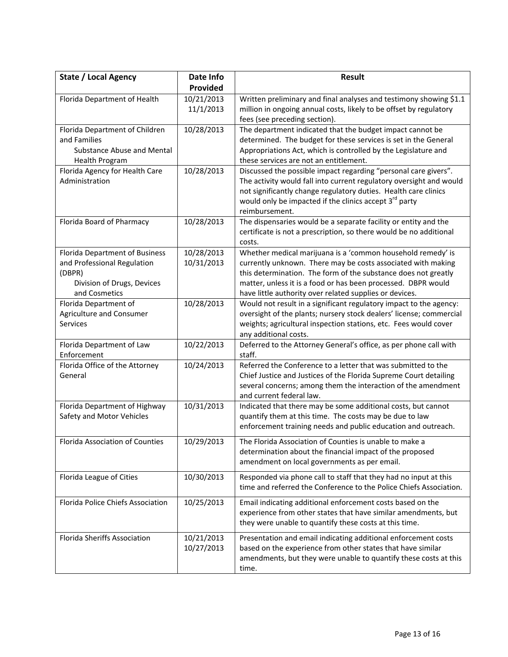| <b>State / Local Agency</b>            | Date Info  | <b>Result</b>                                                                                                                          |  |  |  |
|----------------------------------------|------------|----------------------------------------------------------------------------------------------------------------------------------------|--|--|--|
|                                        | Provided   |                                                                                                                                        |  |  |  |
| Florida Department of Health           | 10/21/2013 | Written preliminary and final analyses and testimony showing \$1.1                                                                     |  |  |  |
|                                        | 11/1/2013  | million in ongoing annual costs, likely to be offset by regulatory                                                                     |  |  |  |
|                                        |            | fees (see preceding section).                                                                                                          |  |  |  |
| Florida Department of Children         | 10/28/2013 | The department indicated that the budget impact cannot be                                                                              |  |  |  |
| and Families                           |            | determined. The budget for these services is set in the General                                                                        |  |  |  |
| <b>Substance Abuse and Mental</b>      |            | Appropriations Act, which is controlled by the Legislature and                                                                         |  |  |  |
| Health Program                         |            | these services are not an entitlement.                                                                                                 |  |  |  |
| Florida Agency for Health Care         | 10/28/2013 | Discussed the possible impact regarding "personal care givers".                                                                        |  |  |  |
| Administration                         |            | The activity would fall into current regulatory oversight and would                                                                    |  |  |  |
|                                        |            | not significantly change regulatory duties. Health care clinics                                                                        |  |  |  |
|                                        |            | would only be impacted if the clinics accept 3 <sup>rd</sup> party                                                                     |  |  |  |
|                                        |            | reimbursement.                                                                                                                         |  |  |  |
| Florida Board of Pharmacy              | 10/28/2013 | The dispensaries would be a separate facility or entity and the                                                                        |  |  |  |
|                                        |            | certificate is not a prescription, so there would be no additional                                                                     |  |  |  |
|                                        |            | costs.                                                                                                                                 |  |  |  |
| Florida Department of Business         | 10/28/2013 | Whether medical marijuana is a 'common household remedy' is                                                                            |  |  |  |
| and Professional Regulation            | 10/31/2013 | currently unknown. There may be costs associated with making                                                                           |  |  |  |
| (DBPR)                                 |            | this determination. The form of the substance does not greatly                                                                         |  |  |  |
| Division of Drugs, Devices             |            | matter, unless it is a food or has been processed. DBPR would                                                                          |  |  |  |
| and Cosmetics                          |            | have little authority over related supplies or devices.                                                                                |  |  |  |
| Florida Department of                  | 10/28/2013 | Would not result in a significant regulatory impact to the agency:                                                                     |  |  |  |
| Agriculture and Consumer               |            | oversight of the plants; nursery stock dealers' license; commercial                                                                    |  |  |  |
| <b>Services</b>                        |            | weights; agricultural inspection stations, etc. Fees would cover                                                                       |  |  |  |
|                                        |            | any additional costs.                                                                                                                  |  |  |  |
| Florida Department of Law              | 10/22/2013 | Deferred to the Attorney General's office, as per phone call with                                                                      |  |  |  |
| Enforcement                            |            | staff.                                                                                                                                 |  |  |  |
| Florida Office of the Attorney         | 10/24/2013 | Referred the Conference to a letter that was submitted to the                                                                          |  |  |  |
| General                                |            | Chief Justice and Justices of the Florida Supreme Court detailing                                                                      |  |  |  |
|                                        |            | several concerns; among them the interaction of the amendment                                                                          |  |  |  |
|                                        |            | and current federal law.                                                                                                               |  |  |  |
| Florida Department of Highway          | 10/31/2013 | Indicated that there may be some additional costs, but cannot                                                                          |  |  |  |
| Safety and Motor Vehicles              |            | quantify them at this time. The costs may be due to law                                                                                |  |  |  |
|                                        |            | enforcement training needs and public education and outreach.                                                                          |  |  |  |
| <b>Florida Association of Counties</b> | 10/29/2013 | The Florida Association of Counties is unable to make a                                                                                |  |  |  |
|                                        |            | determination about the financial impact of the proposed                                                                               |  |  |  |
|                                        |            | amendment on local governments as per email.                                                                                           |  |  |  |
|                                        |            |                                                                                                                                        |  |  |  |
| Florida League of Cities               | 10/30/2013 | Responded via phone call to staff that they had no input at this<br>time and referred the Conference to the Police Chiefs Association. |  |  |  |
|                                        |            |                                                                                                                                        |  |  |  |
| Florida Police Chiefs Association      | 10/25/2013 | Email indicating additional enforcement costs based on the                                                                             |  |  |  |
|                                        |            | experience from other states that have similar amendments, but                                                                         |  |  |  |
|                                        |            | they were unable to quantify these costs at this time.                                                                                 |  |  |  |
| <b>Florida Sheriffs Association</b>    | 10/21/2013 | Presentation and email indicating additional enforcement costs                                                                         |  |  |  |
|                                        | 10/27/2013 | based on the experience from other states that have similar                                                                            |  |  |  |
|                                        |            | amendments, but they were unable to quantify these costs at this                                                                       |  |  |  |
|                                        |            | time.                                                                                                                                  |  |  |  |
|                                        |            |                                                                                                                                        |  |  |  |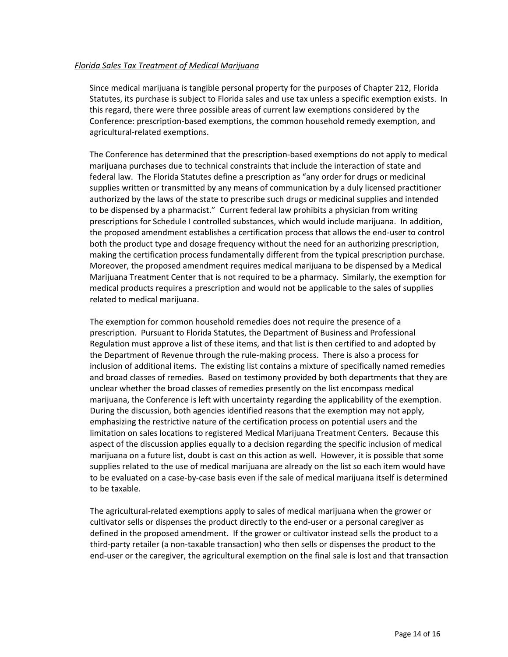#### *Florida Sales Tax Treatment of Medical Marijuana*

Since medical marijuana is tangible personal property for the purposes of Chapter 212, Florida Statutes, its purchase is subject to Florida sales and use tax unless a specific exemption exists. In this regard, there were three possible areas of current law exemptions considered by the Conference: prescription‐based exemptions, the common household remedy exemption, and agricultural‐related exemptions.

The Conference has determined that the prescription‐based exemptions do not apply to medical marijuana purchases due to technical constraints that include the interaction of state and federal law. The Florida Statutes define a prescription as "any order for drugs or medicinal supplies written or transmitted by any means of communication by a duly licensed practitioner authorized by the laws of the state to prescribe such drugs or medicinal supplies and intended to be dispensed by a pharmacist." Current federal law prohibits a physician from writing prescriptions for Schedule I controlled substances, which would include marijuana. In addition, the proposed amendment establishes a certification process that allows the end-user to control both the product type and dosage frequency without the need for an authorizing prescription, making the certification process fundamentally different from the typical prescription purchase. Moreover, the proposed amendment requires medical marijuana to be dispensed by a Medical Marijuana Treatment Center that is not required to be a pharmacy. Similarly, the exemption for medical products requires a prescription and would not be applicable to the sales of supplies related to medical marijuana.

The exemption for common household remedies does not require the presence of a prescription. Pursuant to Florida Statutes, the Department of Business and Professional Regulation must approve a list of these items, and that list is then certified to and adopted by the Department of Revenue through the rule‐making process. There is also a process for inclusion of additional items. The existing list contains a mixture of specifically named remedies and broad classes of remedies. Based on testimony provided by both departments that they are unclear whether the broad classes of remedies presently on the list encompass medical marijuana, the Conference is left with uncertainty regarding the applicability of the exemption. During the discussion, both agencies identified reasons that the exemption may not apply, emphasizing the restrictive nature of the certification process on potential users and the limitation on sales locations to registered Medical Marijuana Treatment Centers. Because this aspect of the discussion applies equally to a decision regarding the specific inclusion of medical marijuana on a future list, doubt is cast on this action as well. However, it is possible that some supplies related to the use of medical marijuana are already on the list so each item would have to be evaluated on a case‐by‐case basis even if the sale of medical marijuana itself is determined to be taxable.

The agricultural‐related exemptions apply to sales of medical marijuana when the grower or cultivator sells or dispenses the product directly to the end‐user or a personal caregiver as defined in the proposed amendment. If the grower or cultivator instead sells the product to a third‐party retailer (a non‐taxable transaction) who then sells or dispenses the product to the end‐user or the caregiver, the agricultural exemption on the final sale is lost and that transaction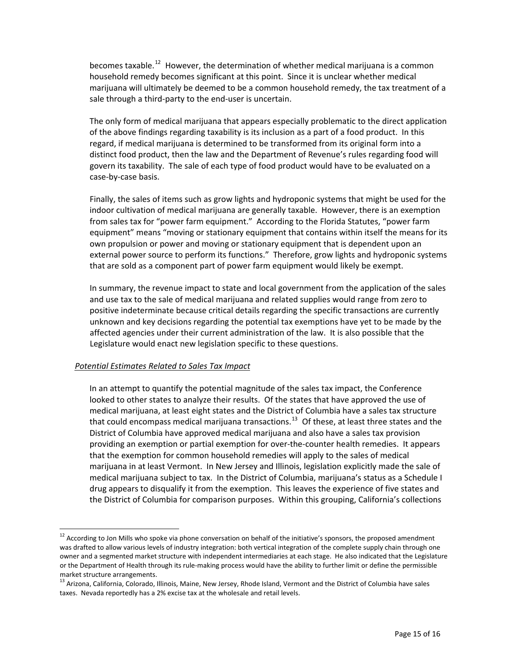becomes taxable.<sup>[12](#page-14-0)</sup> However, the determination of whether medical marijuana is a common household remedy becomes significant at this point. Since it is unclear whether medical marijuana will ultimately be deemed to be a common household remedy, the tax treatment of a sale through a third-party to the end-user is uncertain.

The only form of medical marijuana that appears especially problematic to the direct application of the above findings regarding taxability is its inclusion as a part of a food product. In this regard, if medical marijuana is determined to be transformed from its original form into a distinct food product, then the law and the Department of Revenue's rules regarding food will govern its taxability. The sale of each type of food product would have to be evaluated on a case‐by‐case basis.

Finally, the sales of items such as grow lights and hydroponic systems that might be used for the indoor cultivation of medical marijuana are generally taxable. However, there is an exemption from sales tax for "power farm equipment." According to the Florida Statutes, "power farm equipment" means "moving or stationary equipment that contains within itself the means for its own propulsion or power and moving or stationary equipment that is dependent upon an external power source to perform its functions." Therefore, grow lights and hydroponic systems that are sold as a component part of power farm equipment would likely be exempt.

In summary, the revenue impact to state and local government from the application of the sales and use tax to the sale of medical marijuana and related supplies would range from zero to positive indeterminate because critical details regarding the specific transactions are currently unknown and key decisions regarding the potential tax exemptions have yet to be made by the affected agencies under their current administration of the law. It is also possible that the Legislature would enact new legislation specific to these questions.

# *Potential Estimates Related to Sales Tax Impact*

 $\overline{a}$ 

In an attempt to quantify the potential magnitude of the sales tax impact, the Conference looked to other states to analyze their results. Of the states that have approved the use of medical marijuana, at least eight states and the District of Columbia have a sales tax structure that could encompass medical marijuana transactions.<sup>[13](#page-14-1)</sup> Of these, at least three states and the District of Columbia have approved medical marijuana and also have a sales tax provision providing an exemption or partial exemption for over‐the‐counter health remedies. It appears that the exemption for common household remedies will apply to the sales of medical marijuana in at least Vermont. In New Jersey and Illinois, legislation explicitly made the sale of medical marijuana subject to tax. In the District of Columbia, marijuana's status as a Schedule I drug appears to disqualify it from the exemption. This leaves the experience of five states and the District of Columbia for comparison purposes. Within this grouping, California's collections

<span id="page-14-0"></span><sup>&</sup>lt;sup>12</sup> According to Jon Mills who spoke via phone conversation on behalf of the initiative's sponsors, the proposed amendment was drafted to allow various levels of industry integration: both vertical integration of the complete supply chain through one owner and a segmented market structure with independent intermediaries at each stage. He also indicated that the Legislature or the Department of Health through its rule‐making process would have the ability to further limit or define the permissible market structure arrangements.<br><sup>13</sup> Arizona, California, Colorado, Illinois, Maine, New Jersey, Rhode Island, Vermont and the District of Columbia have sales

<span id="page-14-1"></span>taxes. Nevada reportedly has a 2% excise tax at the wholesale and retail levels.